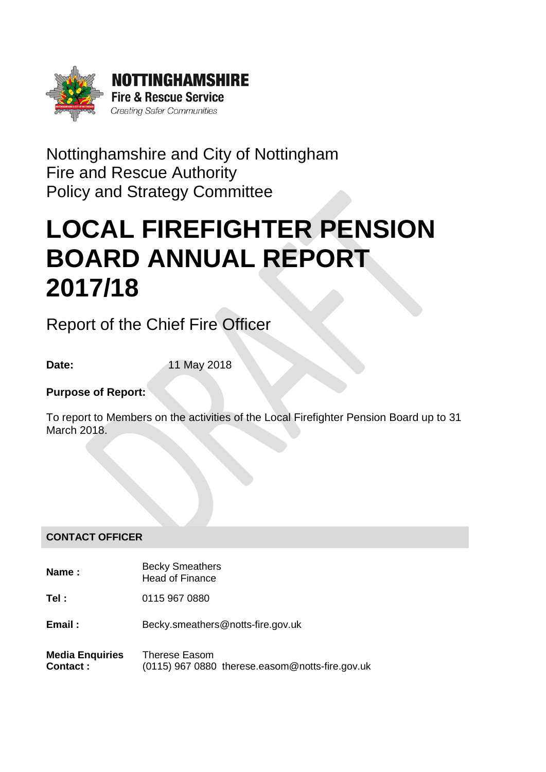

# Nottinghamshire and City of Nottingham Fire and Rescue Authority Policy and Strategy Committee

# LOCAL FIREFIGHTER PENSION BOARD ANNUAL REPORT 2017/18

Report of the Chief Fire Officer

**Date:** 11 May 2018

# **Purpose of Report:**

To report to Members on the activities of the Local Firefighter Pension Board up to 31 March 2018.

# **CONTACT OFFICER**

- **Name :** Becky Smeathers Head of Finance
- **Tel :** 0115 967 0880
- **Email:** Becky.smeathers@notts-fire.gov.uk
- **Media Enquiries Contact :** Therese Easom (0115) 967 0880 therese.easom@notts-fire.gov.uk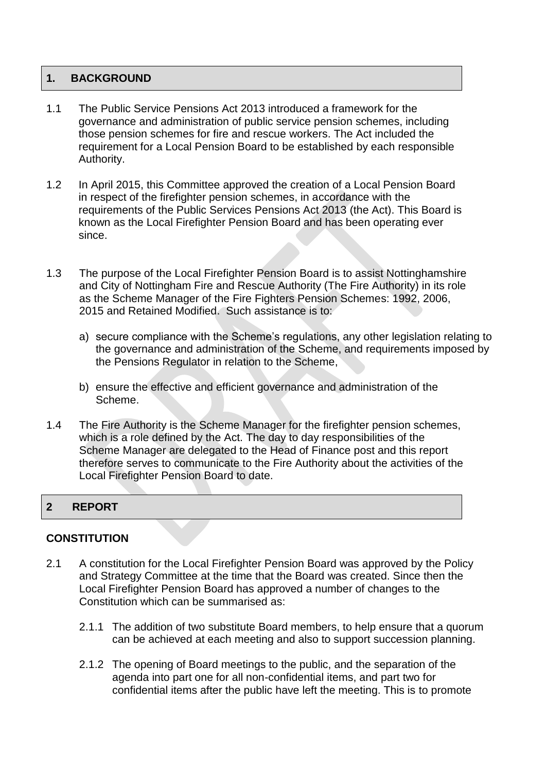#### 1. BACKGROUND

- 1.1 The Public Service Pensions Act 2013 introduced a framework for the governance and administration of public service pension schemes, including those pension schemes for fire and rescue workers. The Act included the requirement for a Local Pension Board to be established by each responsible Authority.
- 1.2 In April 2015, this Committee approved the creation of a Local Pension Board in respect of the firefighter pension schemes, in accordance with the requirements of the Public Services Pensions Act 2013 (the Act). This Board is known as the Local Firefighter Pension Board and has been operating ever since.
- 1.3 The purpose of the Local Firefighter Pension Board is to assist Nottinghamshire and City of Nottingham Fire and Rescue Authority (The Fire Authority) in its role as the Scheme Manager of the Fire Fighters Pension Schemes: 1992, 2006, 2015 and Retained Modified. Such assistance is to:
	- a) secure compliance with the Scheme's regulations, any other legislation relating to the governance and administration of the Scheme, and requirements imposed by the Pensions Regulator in relation to the Scheme,
	- b) ensure the effective and efficient governance and administration of the Scheme.
- 1.4 The Fire Authority is the Scheme Manager for the firefighter pension schemes, which is a role defined by the Act. The day to day responsibilities of the Scheme Manager are delegated to the Head of Finance post and this report therefore serves to communicate to the Fire Authority about the activities of the Local Firefighter Pension Board to date.

#### 2 REPORT

#### **CONSTITUTION**

- 2.1 A constitution for the Local Firefighter Pension Board was approved by the Policy and Strategy Committee at the time that the Board was created. Since then the Local Firefighter Pension Board has approved a number of changes to the Constitution which can be summarised as:
	- 2.1.1 The addition of two substitute Board members, to help ensure that a quorum can be achieved at each meeting and also to support succession planning.
	- 2.1.2 The opening of Board meetings to the public, and the separation of the agenda into part one for all non-confidential items, and part two for confidential items after the public have left the meeting. This is to promote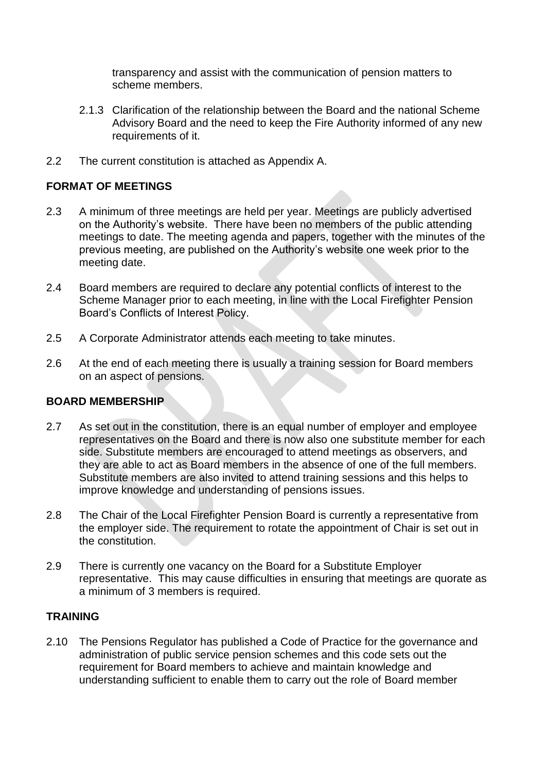transparency and assist with the communication of pension matters to scheme members.

- 2.1.3 Clarification of the relationship between the Board and the national Scheme Advisory Board and the need to keep the Fire Authority informed of any new requirements of it.
- 2.2 The current constitution is attached as Appendix A.

# **FORMAT OF MEETINGS**

- 2.3 A minimum of three meetings are held per year. Meetings are publicly advertised on the Authority's website. There have been no members of the public attending meetings to date. The meeting agenda and papers, together with the minutes of the previous meeting, are published on the Authority's website one week prior to the meeting date.
- 2.4 Board members are required to declare any potential conflicts of interest to the Scheme Manager prior to each meeting, in line with the Local Firefighter Pension Board's Conflicts of Interest Policy.
- 2.5 A Corporate Administrator attends each meeting to take minutes.
- 2.6 At the end of each meeting there is usually a training session for Board members on an aspect of pensions.

# **BOARD MEMBERSHIP**

- 2.7 As set out in the constitution, there is an equal number of employer and employee representatives on the Board and there is now also one substitute member for each side. Substitute members are encouraged to attend meetings as observers, and they are able to act as Board members in the absence of one of the full members. Substitute members are also invited to attend training sessions and this helps to improve knowledge and understanding of pensions issues.
- 2.8 The Chair of the Local Firefighter Pension Board is currently a representative from the employer side. The requirement to rotate the appointment of Chair is set out in the constitution.
- 2.9 There is currently one vacancy on the Board for a Substitute Employer representative. This may cause difficulties in ensuring that meetings are quorate as a minimum of 3 members is required.

# **TRAINING**

2.10 The Pensions Regulator has published a Code of Practice for the governance and administration of public service pension schemes and this code sets out the requirement for Board members to achieve and maintain knowledge and understanding sufficient to enable them to carry out the role of Board member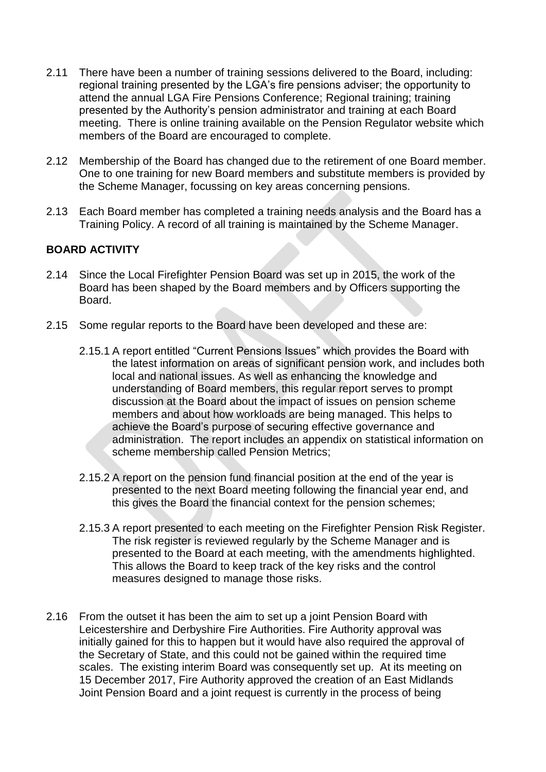- 2.11 There have been a number of training sessions delivered to the Board, including: regional training presented by the LGA's fire pensions adviser; the opportunity to attend the annual LGA Fire Pensions Conference; Regional training; training presented by the Authority's pension administrator and training at each Board meeting. There is online training available on the Pension Regulator website which members of the Board are encouraged to complete.
- 2.12 Membership of the Board has changed due to the retirement of one Board member. One to one training for new Board members and substitute members is provided by the Scheme Manager, focussing on key areas concerning pensions.
- 2.13 Each Board member has completed a training needs analysis and the Board has a Training Policy. A record of all training is maintained by the Scheme Manager.

# **BOARD ACTIVITY**

- 2.14 Since the Local Firefighter Pension Board was set up in 2015, the work of the Board has been shaped by the Board members and by Officers supporting the Board.
- 2.15 Some regular reports to the Board have been developed and these are:
	- 2.15.1 A report entitled "Current Pensions Issues" which provides the Board with the latest information on areas of significant pension work, and includes both local and national issues. As well as enhancing the knowledge and understanding of Board members, this regular report serves to prompt discussion at the Board about the impact of issues on pension scheme members and about how workloads are being managed. This helps to achieve the Board's purpose of securing effective governance and administration. The report includes an appendix on statistical information on scheme membership called Pension Metrics;
	- 2.15.2 A report on the pension fund financial position at the end of the year is presented to the next Board meeting following the financial year end, and this gives the Board the financial context for the pension schemes;
	- 2.15.3 A report presented to each meeting on the Firefighter Pension Risk Register. The risk register is reviewed regularly by the Scheme Manager and is presented to the Board at each meeting, with the amendments highlighted. This allows the Board to keep track of the key risks and the control measures designed to manage those risks.
- 2.16 From the outset it has been the aim to set up a joint Pension Board with Leicestershire and Derbyshire Fire Authorities. Fire Authority approval was initially gained for this to happen but it would have also required the approval of the Secretary of State, and this could not be gained within the required time scales. The existing interim Board was consequently set up. At its meeting on 15 December 2017, Fire Authority approved the creation of an East Midlands Joint Pension Board and a joint request is currently in the process of being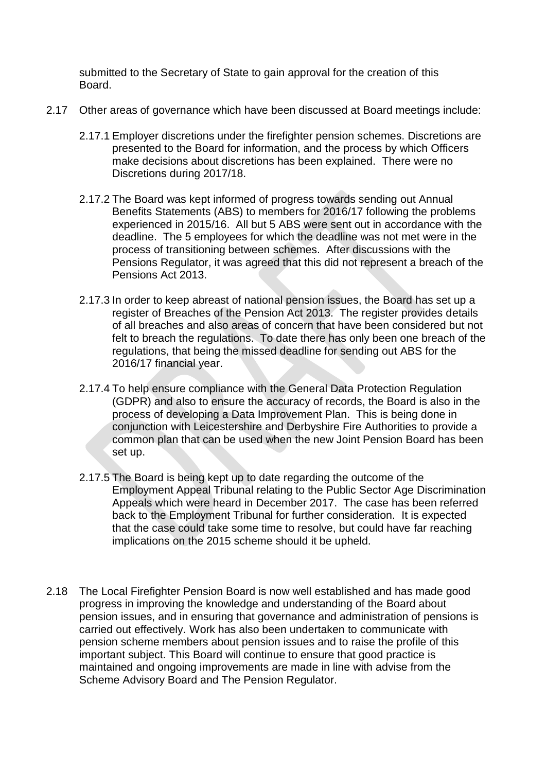submitted to the Secretary of State to gain approval for the creation of this Board.

- 2.17 Other areas of governance which have been discussed at Board meetings include:
	- 2.17.1 Employer discretions under the firefighter pension schemes. Discretions are presented to the Board for information, and the process by which Officers make decisions about discretions has been explained. There were no Discretions during 2017/18.
	- 2.17.2 The Board was kept informed of progress towards sending out Annual Benefits Statements (ABS) to members for 2016/17 following the problems experienced in 2015/16. All but 5 ABS were sent out in accordance with the deadline. The 5 employees for which the deadline was not met were in the process of transitioning between schemes. After discussions with the Pensions Regulator, it was agreed that this did not represent a breach of the Pensions Act 2013.
	- 2.17.3 In order to keep abreast of national pension issues, the Board has set up a register of Breaches of the Pension Act 2013. The register provides details of all breaches and also areas of concern that have been considered but not felt to breach the regulations. To date there has only been one breach of the regulations, that being the missed deadline for sending out ABS for the 2016/17 financial year.
	- 2.17.4 To help ensure compliance with the General Data Protection Regulation (GDPR) and also to ensure the accuracy of records, the Board is also in the process of developing a Data Improvement Plan. This is being done in conjunction with Leicestershire and Derbyshire Fire Authorities to provide a common plan that can be used when the new Joint Pension Board has been set up.
	- 2.17.5 The Board is being kept up to date regarding the outcome of the Employment Appeal Tribunal relating to the Public Sector Age Discrimination Appeals which were heard in December 2017. The case has been referred back to the Employment Tribunal for further consideration. It is expected that the case could take some time to resolve, but could have far reaching implications on the 2015 scheme should it be upheld.
- 2.18 The Local Firefighter Pension Board is now well established and has made good progress in improving the knowledge and understanding of the Board about pension issues, and in ensuring that governance and administration of pensions is carried out effectively. Work has also been undertaken to communicate with pension scheme members about pension issues and to raise the profile of this important subject. This Board will continue to ensure that good practice is maintained and ongoing improvements are made in line with advise from the Scheme Advisory Board and The Pension Regulator.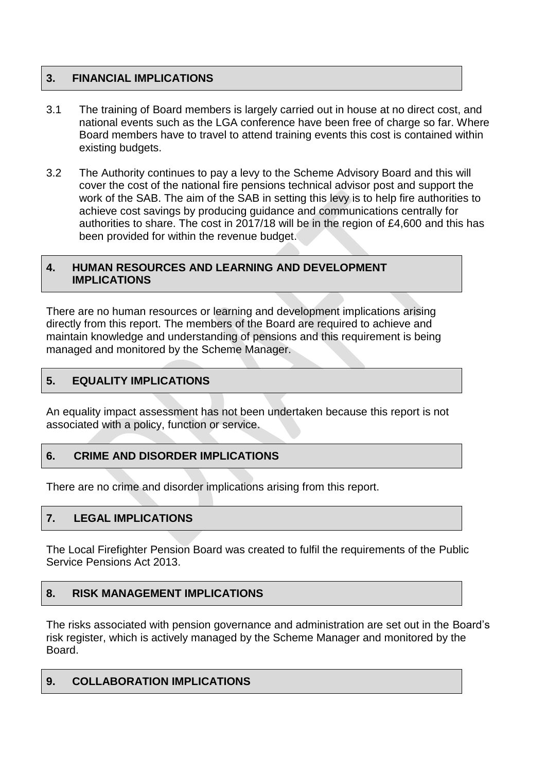# **3. FINANCIAL IMPLICATIONS**

- 3.1 The training of Board members is largely carried out in house at no direct cost, and national events such as the LGA conference have been free of charge so far. Where Board members have to travel to attend training events this cost is contained within existing budgets.
- 3.2 The Authority continues to pay a levy to the Scheme Advisory Board and this will cover the cost of the national fire pensions technical advisor post and support the work of the SAB. The aim of the SAB in setting this levy is to help fire authorities to achieve cost savings by producing guidance and communications centrally for authorities to share. The cost in 2017/18 will be in the region of £4,600 and this has been provided for within the revenue budget.

#### **4. HUMAN RESOURCES AND LEARNING AND DEVELOPMENT IMPLICATIONS**

There are no human resources or learning and development implications arising directly from this report. The members of the Board are required to achieve and maintain knowledge and understanding of pensions and this requirement is being managed and monitored by the Scheme Manager.

# **5. EQUALITY IMPLICATIONS**

An equality impact assessment has not been undertaken because this report is not associated with a policy, function or service.

# **6. CRIME AND DISORDER IMPLICATIONS**

There are no crime and disorder implications arising from this report.

# **7. LEGAL IMPLICATIONS**

The Local Firefighter Pension Board was created to fulfil the requirements of the Public Service Pensions Act 2013.

# **8. RISK MANAGEMENT IMPLICATIONS**

The risks associated with pension governance and administration are set out in the Board's risk register, which is actively managed by the Scheme Manager and monitored by the Board.

#### **9. COLLABORATION IMPLICATIONS**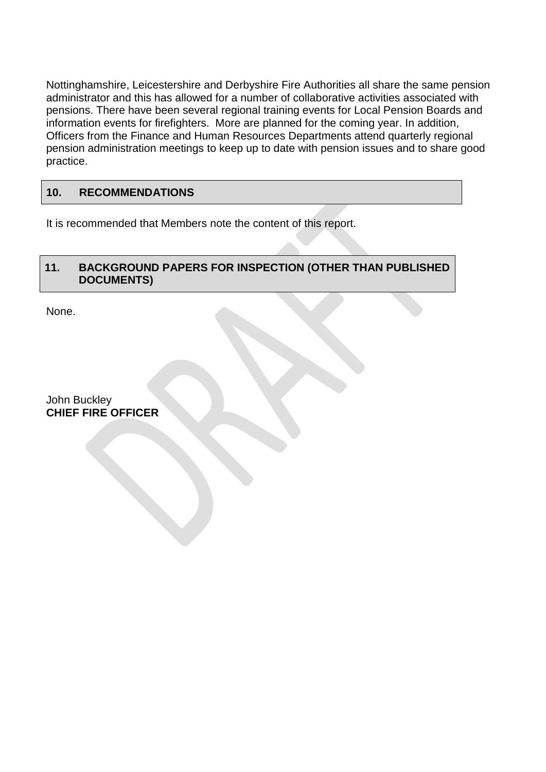Nottinghamshire, Leicestershire and Derbyshire Fire Authorities all share the same pension administrator and this has allowed for a number of collaborative activities associated with pensions. There have been several regional training events for Local Pension Boards and information events for firefighters. More are planned for the coming year. In addition, Officers from the Finance and Human Resources Departments attend quarterly regional pension administration meetings to keep up to date with pension issues and to share good practice.

# **10. RECOMMENDATIONS**

It is recommended that Members note the content of this report.

# **11. BACKGROUND PAPERS FOR INSPECTION (OTHER THAN PUBLISHED DOCUMENTS)**

None.

John Buckley **CHIEF FIRE OFFICER**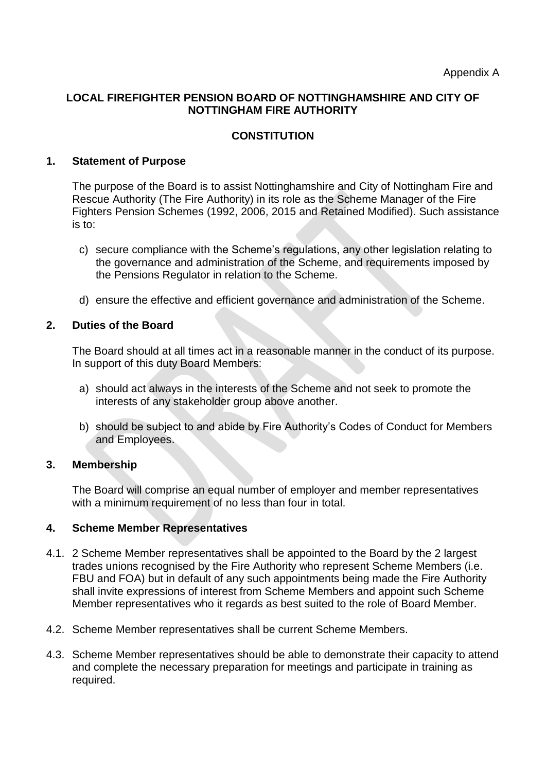#### **LOCAL FIREFIGHTER PENSION BOARD OF NOTTINGHAMSHIRE AND CITY OF NOTTINGHAM FIRE AUTHORITY**

# **CONSTITUTION**

#### **1. Statement of Purpose**

The purpose of the Board is to assist Nottinghamshire and City of Nottingham Fire and Rescue Authority (The Fire Authority) in its role as the Scheme Manager of the Fire Fighters Pension Schemes (1992, 2006, 2015 and Retained Modified). Such assistance is to:

- c) secure compliance with the Scheme's regulations, any other legislation relating to the governance and administration of the Scheme, and requirements imposed by the Pensions Regulator in relation to the Scheme.
- d) ensure the effective and efficient governance and administration of the Scheme.

#### **2. Duties of the Board**

The Board should at all times act in a reasonable manner in the conduct of its purpose. In support of this duty Board Members:

- a) should act always in the interests of the Scheme and not seek to promote the interests of any stakeholder group above another.
- b) should be subject to and abide by Fire Authority's Codes of Conduct for Members and Employees.

#### **3. Membership**

The Board will comprise an equal number of employer and member representatives with a minimum requirement of no less than four in total.

#### **4. Scheme Member Representatives**

- 4.1. 2 Scheme Member representatives shall be appointed to the Board by the 2 largest trades unions recognised by the Fire Authority who represent Scheme Members (i.e. FBU and FOA) but in default of any such appointments being made the Fire Authority shall invite expressions of interest from Scheme Members and appoint such Scheme Member representatives who it regards as best suited to the role of Board Member.
- 4.2. Scheme Member representatives shall be current Scheme Members.
- 4.3. Scheme Member representatives should be able to demonstrate their capacity to attend and complete the necessary preparation for meetings and participate in training as required.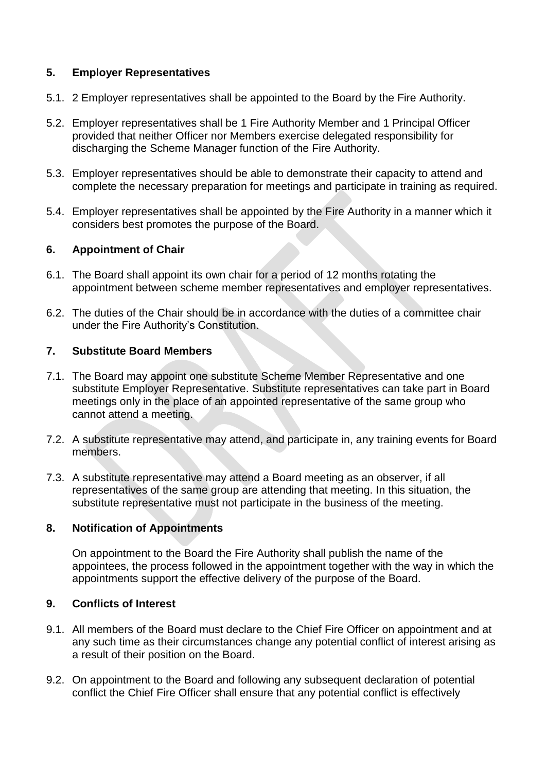# **5. Employer Representatives**

- 5.1. 2 Employer representatives shall be appointed to the Board by the Fire Authority.
- 5.2. Employer representatives shall be 1 Fire Authority Member and 1 Principal Officer provided that neither Officer nor Members exercise delegated responsibility for discharging the Scheme Manager function of the Fire Authority.
- 5.3. Employer representatives should be able to demonstrate their capacity to attend and complete the necessary preparation for meetings and participate in training as required.
- 5.4. Employer representatives shall be appointed by the Fire Authority in a manner which it considers best promotes the purpose of the Board.

# **6. Appointment of Chair**

- 6.1. The Board shall appoint its own chair for a period of 12 months rotating the appointment between scheme member representatives and employer representatives.
- 6.2. The duties of the Chair should be in accordance with the duties of a committee chair under the Fire Authority's Constitution.

# **7. Substitute Board Members**

- 7.1. The Board may appoint one substitute Scheme Member Representative and one substitute Employer Representative. Substitute representatives can take part in Board meetings only in the place of an appointed representative of the same group who cannot attend a meeting.
- 7.2. A substitute representative may attend, and participate in, any training events for Board members.
- 7.3. A substitute representative may attend a Board meeting as an observer, if all representatives of the same group are attending that meeting. In this situation, the substitute representative must not participate in the business of the meeting.

#### **8. Notification of Appointments**

On appointment to the Board the Fire Authority shall publish the name of the appointees, the process followed in the appointment together with the way in which the appointments support the effective delivery of the purpose of the Board.

#### **9. Conflicts of Interest**

- 9.1. All members of the Board must declare to the Chief Fire Officer on appointment and at any such time as their circumstances change any potential conflict of interest arising as a result of their position on the Board.
- 9.2. On appointment to the Board and following any subsequent declaration of potential conflict the Chief Fire Officer shall ensure that any potential conflict is effectively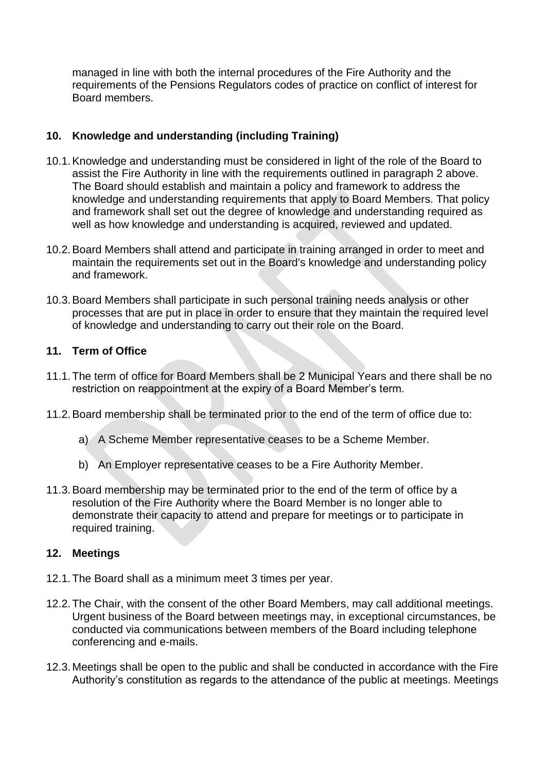managed in line with both the internal procedures of the Fire Authority and the requirements of the Pensions Regulators codes of practice on conflict of interest for Board members.

# **10. Knowledge and understanding (including Training)**

- 10.1.Knowledge and understanding must be considered in light of the role of the Board to assist the Fire Authority in line with the requirements outlined in paragraph 2 above. The Board should establish and maintain a policy and framework to address the knowledge and understanding requirements that apply to Board Members. That policy and framework shall set out the degree of knowledge and understanding required as well as how knowledge and understanding is acquired, reviewed and updated.
- 10.2.Board Members shall attend and participate in training arranged in order to meet and maintain the requirements set out in the Board's knowledge and understanding policy and framework.
- 10.3.Board Members shall participate in such personal training needs analysis or other processes that are put in place in order to ensure that they maintain the required level of knowledge and understanding to carry out their role on the Board.

#### **11. Term of Office**

- 11.1.The term of office for Board Members shall be 2 Municipal Years and there shall be no restriction on reappointment at the expiry of a Board Member's term.
- 11.2.Board membership shall be terminated prior to the end of the term of office due to:
	- a) A Scheme Member representative ceases to be a Scheme Member.
	- b) An Employer representative ceases to be a Fire Authority Member.
- 11.3.Board membership may be terminated prior to the end of the term of office by a resolution of the Fire Authority where the Board Member is no longer able to demonstrate their capacity to attend and prepare for meetings or to participate in required training.

#### **12. Meetings**

- 12.1.The Board shall as a minimum meet 3 times per year.
- 12.2.The Chair, with the consent of the other Board Members, may call additional meetings. Urgent business of the Board between meetings may, in exceptional circumstances, be conducted via communications between members of the Board including telephone conferencing and e-mails.
- 12.3.Meetings shall be open to the public and shall be conducted in accordance with the Fire Authority's constitution as regards to the attendance of the public at meetings. Meetings